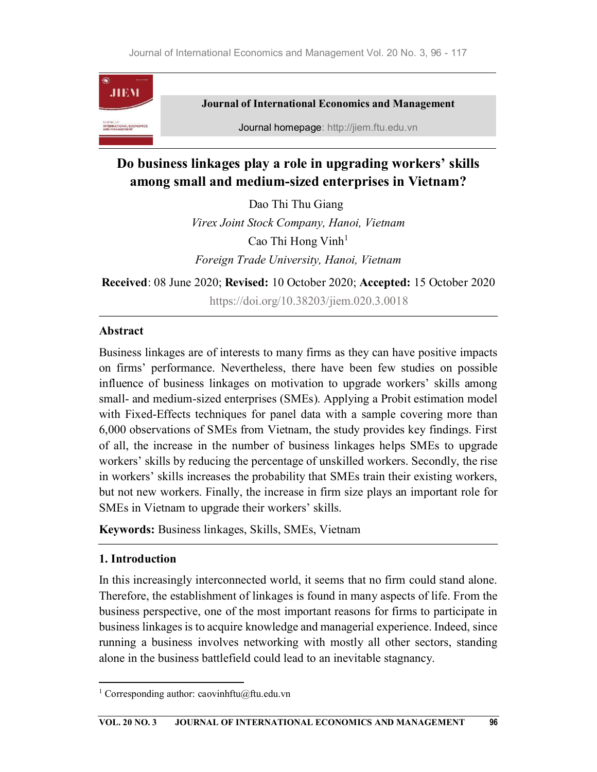

# Do business linkages play a role in upgrading workers' skills among small and medium-sized enterprises in Vietnam?

Dao Thi Thu Giang Virex Joint Stock Company, Hanoi, Vietnam Cao Thi Hong Vinh<sup>1</sup> Foreign Trade University, Hanoi, Vietnam

Received: 08 June 2020; Revised: 10 October 2020; Accepted: 15 October 2020 https://doi.org/10.38203/jiem.020.3.0018

# Abstract

Business linkages are of interests to many firms as they can have positive impacts on firms' performance. Nevertheless, there have been few studies on possible influence of business linkages on motivation to upgrade workers' skills among small- and medium-sized enterprises (SMEs). Applying a Probit estimation model with Fixed-Effects techniques for panel data with a sample covering more than 6,000 observations of SMEs from Vietnam, the study provides key findings. First of all, the increase in the number of business linkages helps SMEs to upgrade workers' skills by reducing the percentage of unskilled workers. Secondly, the rise in workers' skills increases the probability that SMEs train their existing workers, but not new workers. Finally, the increase in firm size plays an important role for SMEs in Vietnam to upgrade their workers' skills.

Keywords: Business linkages, Skills, SMEs, Vietnam

# 1. Introduction

In this increasingly interconnected world, it seems that no firm could stand alone. Therefore, the establishment of linkages is found in many aspects of life. From the business perspective, one of the most important reasons for firms to participate in business linkages is to acquire knowledge and managerial experience. Indeed, since running a business involves networking with mostly all other sectors, standing alone in the business battlefield could lead to an inevitable stagnancy.

<sup>&</sup>lt;sup>1</sup> Corresponding author: caovinhftu@ftu.edu.vn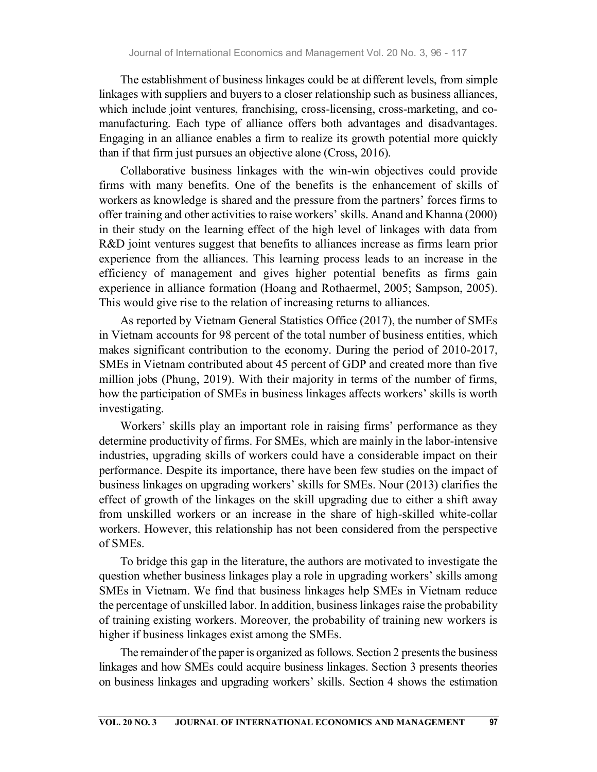The establishment of business linkages could be at different levels, from simple linkages with suppliers and buyers to a closer relationship such as business alliances, which include joint ventures, franchising, cross-licensing, cross-marketing, and comanufacturing. Each type of alliance offers both advantages and disadvantages. Engaging in an alliance enables a firm to realize its growth potential more quickly than if that firm just pursues an objective alone (Cross, 2016).

Collaborative business linkages with the win-win objectives could provide firms with many benefits. One of the benefits is the enhancement of skills of workers as knowledge is shared and the pressure from the partners' forces firms to offer training and other activities to raise workers' skills. Anand and Khanna (2000) in their study on the learning effect of the high level of linkages with data from R&D joint ventures suggest that benefits to alliances increase as firms learn prior experience from the alliances. This learning process leads to an increase in the efficiency of management and gives higher potential benefits as firms gain experience in alliance formation (Hoang and Rothaermel, 2005; Sampson, 2005). This would give rise to the relation of increasing returns to alliances.

As reported by Vietnam General Statistics Office (2017), the number of SMEs in Vietnam accounts for 98 percent of the total number of business entities, which makes significant contribution to the economy. During the period of 2010-2017, SMEs in Vietnam contributed about 45 percent of GDP and created more than five million jobs (Phung, 2019). With their majority in terms of the number of firms, how the participation of SMEs in business linkages affects workers' skills is worth investigating.

Workers' skills play an important role in raising firms' performance as they determine productivity of firms. For SMEs, which are mainly in the labor-intensive industries, upgrading skills of workers could have a considerable impact on their performance. Despite its importance, there have been few studies on the impact of business linkages on upgrading workers' skills for SMEs. Nour (2013) clarifies the effect of growth of the linkages on the skill upgrading due to either a shift away from unskilled workers or an increase in the share of high-skilled white-collar workers. However, this relationship has not been considered from the perspective of SMEs.

To bridge this gap in the literature, the authors are motivated to investigate the question whether business linkages play a role in upgrading workers' skills among SMEs in Vietnam. We find that business linkages help SMEs in Vietnam reduce the percentage of unskilled labor. In addition, business linkages raise the probability of training existing workers. Moreover, the probability of training new workers is higher if business linkages exist among the SMEs.

The remainder of the paper is organized as follows. Section 2 presents the business linkages and how SMEs could acquire business linkages. Section 3 presents theories on business linkages and upgrading workers' skills. Section 4 shows the estimation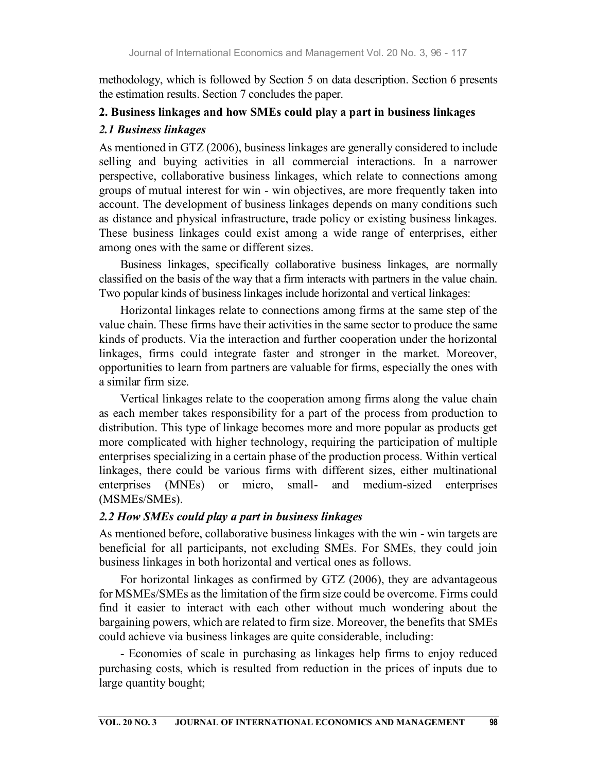methodology, which is followed by Section 5 on data description. Section 6 presents the estimation results. Section 7 concludes the paper.

## 2. Business linkages and how SMEs could play a part in business linkages

### 2.1 Business linkages

As mentioned in GTZ (2006), business linkages are generally considered to include selling and buying activities in all commercial interactions. In a narrower perspective, collaborative business linkages, which relate to connections among groups of mutual interest for win - win objectives, are more frequently taken into account. The development of business linkages depends on many conditions such as distance and physical infrastructure, trade policy or existing business linkages. These business linkages could exist among a wide range of enterprises, either among ones with the same or different sizes.

Business linkages, specifically collaborative business linkages, are normally classified on the basis of the way that a firm interacts with partners in the value chain. Two popular kinds of business linkages include horizontal and vertical linkages:

Horizontal linkages relate to connections among firms at the same step of the value chain. These firms have their activities in the same sector to produce the same kinds of products. Via the interaction and further cooperation under the horizontal linkages, firms could integrate faster and stronger in the market. Moreover, opportunities to learn from partners are valuable for firms, especially the ones with a similar firm size.

Vertical linkages relate to the cooperation among firms along the value chain as each member takes responsibility for a part of the process from production to distribution. This type of linkage becomes more and more popular as products get more complicated with higher technology, requiring the participation of multiple enterprises specializing in a certain phase of the production process. Within vertical linkages, there could be various firms with different sizes, either multinational enterprises (MNEs) or micro, small- and medium-sized enterprises (MSMEs/SMEs).

# 2.2 How SMEs could play a part in business linkages

As mentioned before, collaborative business linkages with the win - win targets are beneficial for all participants, not excluding SMEs. For SMEs, they could join business linkages in both horizontal and vertical ones as follows.

For horizontal linkages as confirmed by GTZ (2006), they are advantageous for MSMEs/SMEs as the limitation of the firm size could be overcome. Firms could find it easier to interact with each other without much wondering about the bargaining powers, which are related to firm size. Moreover, the benefits that SMEs could achieve via business linkages are quite considerable, including:

- Economies of scale in purchasing as linkages help firms to enjoy reduced purchasing costs, which is resulted from reduction in the prices of inputs due to large quantity bought;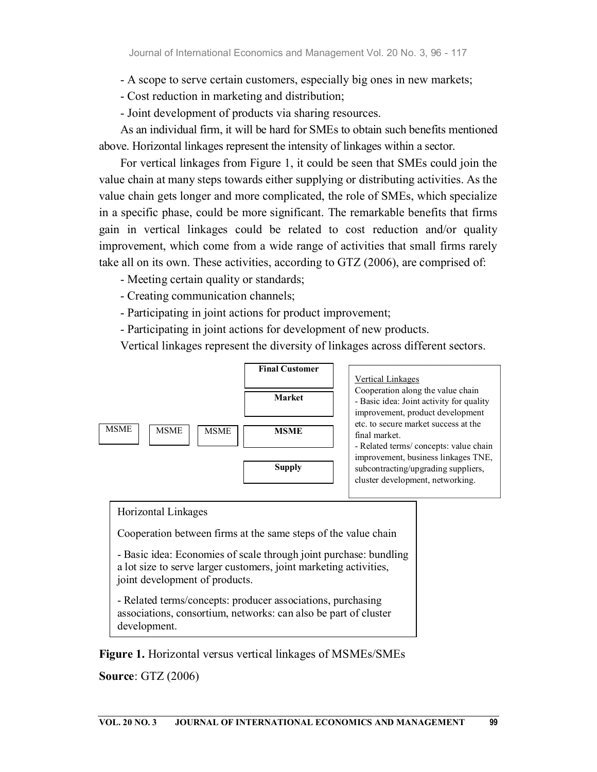- A scope to serve certain customers, especially big ones in new markets;

- Cost reduction in marketing and distribution;

- Joint development of products via sharing resources.

As an individual firm, it will be hard for SMEs to obtain such benefits mentioned above. Horizontal linkages represent the intensity of linkages within a sector.

For vertical linkages from Figure 1, it could be seen that SMEs could join the value chain at many steps towards either supplying or distributing activities. As the value chain gets longer and more complicated, the role of SMEs, which specialize in a specific phase, could be more significant. The remarkable benefits that firms gain in vertical linkages could be related to cost reduction and/or quality improvement, which come from a wide range of activities that small firms rarely take all on its own. These activities, according to GTZ (2006), are comprised of:

- Meeting certain quality or standards;

- Creating communication channels;

- Participating in joint actions for product improvement;

- Participating in joint actions for development of new products.

Vertical linkages represent the diversity of linkages across different sectors.



#### Horizontal Linkages

Cooperation between firms at the same steps of the value chain

- Basic idea: Economies of scale through joint purchase: bundling a lot size to serve larger customers, joint marketing activities, joint development of products.

- Related terms/concepts: producer associations, purchasing associations, consortium, networks: can also be part of cluster development.

Figure 1. Horizontal versus vertical linkages of MSMEs/SMEs

Source: GTZ (2006)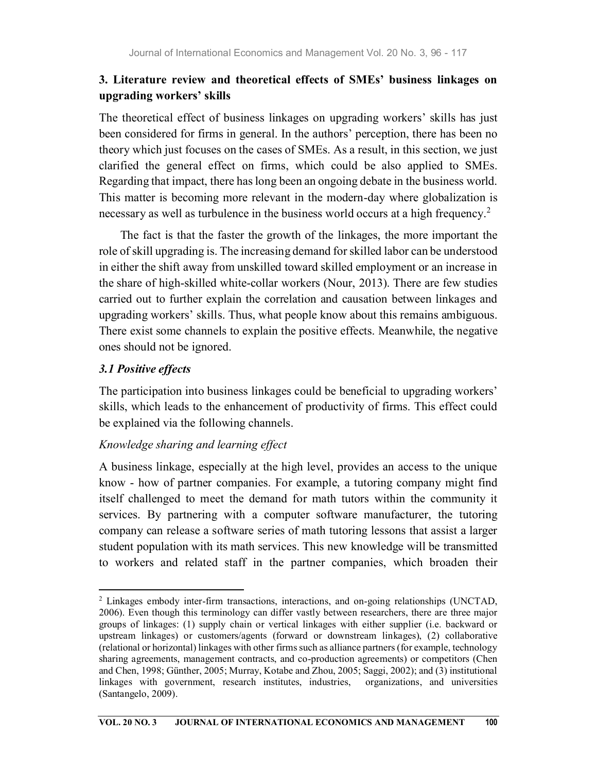# 3. Literature review and theoretical effects of SMEs' business linkages on upgrading workers' skills

The theoretical effect of business linkages on upgrading workers' skills has just been considered for firms in general. In the authors' perception, there has been no theory which just focuses on the cases of SMEs. As a result, in this section, we just clarified the general effect on firms, which could be also applied to SMEs. Regarding that impact, there has long been an ongoing debate in the business world. This matter is becoming more relevant in the modern-day where globalization is necessary as well as turbulence in the business world occurs at a high frequency.<sup>2</sup>

The fact is that the faster the growth of the linkages, the more important the role of skill upgrading is. The increasing demand for skilled labor can be understood in either the shift away from unskilled toward skilled employment or an increase in the share of high-skilled white-collar workers (Nour, 2013). There are few studies carried out to further explain the correlation and causation between linkages and upgrading workers' skills. Thus, what people know about this remains ambiguous. There exist some channels to explain the positive effects. Meanwhile, the negative ones should not be ignored.

### 3.1 Positive effects

The participation into business linkages could be beneficial to upgrading workers' skills, which leads to the enhancement of productivity of firms. This effect could be explained via the following channels.

### Knowledge sharing and learning effect

A business linkage, especially at the high level, provides an access to the unique know - how of partner companies. For example, a tutoring company might find itself challenged to meet the demand for math tutors within the community it services. By partnering with a computer software manufacturer, the tutoring company can release a software series of math tutoring lessons that assist a larger student population with its math services. This new knowledge will be transmitted to workers and related staff in the partner companies, which broaden their

<sup>2</sup> Linkages embody inter-firm transactions, interactions, and on-going relationships (UNCTAD, 2006). Even though this terminology can differ vastly between researchers, there are three major groups of linkages: (1) supply chain or vertical linkages with either supplier (i.e. backward or upstream linkages) or customers/agents (forward or downstream linkages), (2) collaborative (relational or horizontal) linkages with other firms such as alliance partners (for example, technology sharing agreements, management contracts, and co-production agreements) or competitors (Chen and Chen, 1998; Günther, 2005; Murray, Kotabe and Zhou, 2005; Saggi, 2002); and (3) institutional linkages with government, research institutes, industries, (Santangelo, 2009).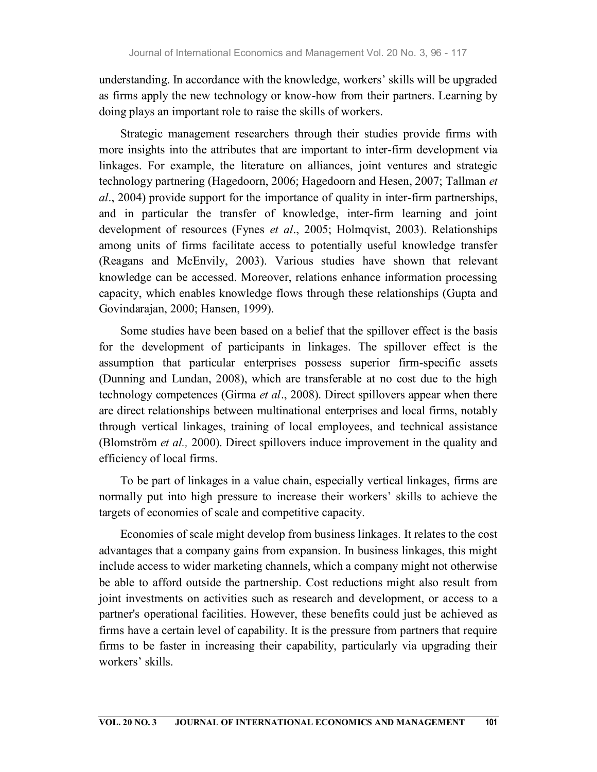understanding. In accordance with the knowledge, workers' skills will be upgraded as firms apply the new technology or know-how from their partners. Learning by doing plays an important role to raise the skills of workers.

Strategic management researchers through their studies provide firms with more insights into the attributes that are important to inter-firm development via linkages. For example, the literature on alliances, joint ventures and strategic technology partnering (Hagedoorn, 2006; Hagedoorn and Hesen, 2007; Tallman et al., 2004) provide support for the importance of quality in inter-firm partnerships, and in particular the transfer of knowledge, inter-firm learning and joint development of resources (Fynes et al., 2005; Holmqvist, 2003). Relationships among units of firms facilitate access to potentially useful knowledge transfer (Reagans and McEnvily, 2003). Various studies have shown that relevant knowledge can be accessed. Moreover, relations enhance information processing capacity, which enables knowledge flows through these relationships (Gupta and Govindarajan, 2000; Hansen, 1999).

Some studies have been based on a belief that the spillover effect is the basis for the development of participants in linkages. The spillover effect is the assumption that particular enterprises possess superior firm-specific assets (Dunning and Lundan, 2008), which are transferable at no cost due to the high technology competences (Girma *et al.*, 2008). Direct spillovers appear when there are direct relationships between multinational enterprises and local firms, notably through vertical linkages, training of local employees, and technical assistance (Blomström et al., 2000). Direct spillovers induce improvement in the quality and efficiency of local firms.

To be part of linkages in a value chain, especially vertical linkages, firms are normally put into high pressure to increase their workers' skills to achieve the targets of economies of scale and competitive capacity.

Economies of scale might develop from business linkages. It relates to the cost advantages that a company gains from expansion. In business linkages, this might include access to wider marketing channels, which a company might not otherwise be able to afford outside the partnership. Cost reductions might also result from joint investments on activities such as research and development, or access to a partner's operational facilities. However, these benefits could just be achieved as firms have a certain level of capability. It is the pressure from partners that require firms to be faster in increasing their capability, particularly via upgrading their workers' skills.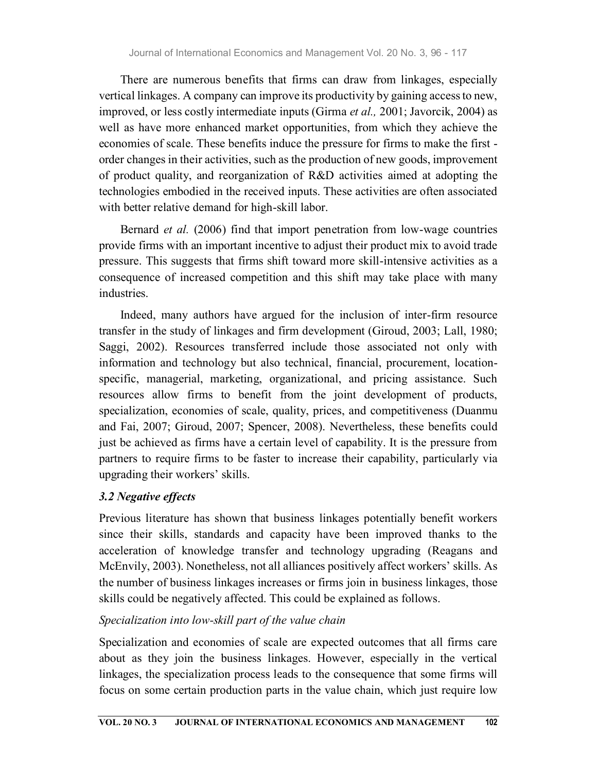There are numerous benefits that firms can draw from linkages, especially vertical linkages. A company can improve its productivity by gaining access to new, improved, or less costly intermediate inputs (Girma *et al.*, 2001; Javorcik, 2004) as well as have more enhanced market opportunities, from which they achieve the economies of scale. These benefits induce the pressure for firms to make the first order changes in their activities, such as the production of new goods, improvement of product quality, and reorganization of R&D activities aimed at adopting the technologies embodied in the received inputs. These activities are often associated with better relative demand for high-skill labor.

Bernard et al. (2006) find that import penetration from low-wage countries provide firms with an important incentive to adjust their product mix to avoid trade pressure. This suggests that firms shift toward more skill-intensive activities as a consequence of increased competition and this shift may take place with many industries.

Indeed, many authors have argued for the inclusion of inter-firm resource transfer in the study of linkages and firm development (Giroud, 2003; Lall, 1980; Saggi, 2002). Resources transferred include those associated not only with information and technology but also technical, financial, procurement, locationspecific, managerial, marketing, organizational, and pricing assistance. Such resources allow firms to benefit from the joint development of products, specialization, economies of scale, quality, prices, and competitiveness (Duanmu and Fai, 2007; Giroud, 2007; Spencer, 2008). Nevertheless, these benefits could just be achieved as firms have a certain level of capability. It is the pressure from partners to require firms to be faster to increase their capability, particularly via upgrading their workers' skills.

# 3.2 Negative effects

Previous literature has shown that business linkages potentially benefit workers since their skills, standards and capacity have been improved thanks to the acceleration of knowledge transfer and technology upgrading (Reagans and McEnvily, 2003). Nonetheless, not all alliances positively affect workers' skills. As the number of business linkages increases or firms join in business linkages, those skills could be negatively affected. This could be explained as follows.

# Specialization into low-skill part of the value chain

Specialization and economies of scale are expected outcomes that all firms care about as they join the business linkages. However, especially in the vertical linkages, the specialization process leads to the consequence that some firms will focus on some certain production parts in the value chain, which just require low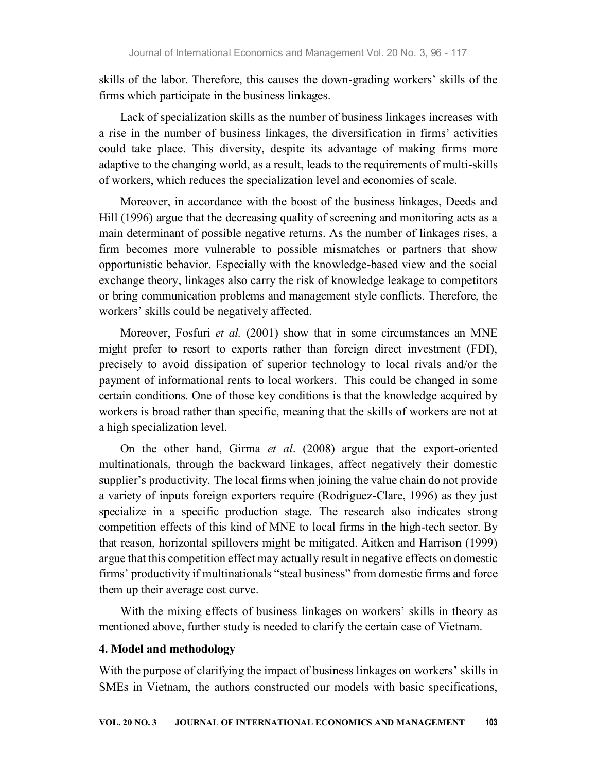skills of the labor. Therefore, this causes the down-grading workers' skills of the firms which participate in the business linkages.

Lack of specialization skills as the number of business linkages increases with a rise in the number of business linkages, the diversification in firms' activities could take place. This diversity, despite its advantage of making firms more adaptive to the changing world, as a result, leads to the requirements of multi-skills of workers, which reduces the specialization level and economies of scale.

Moreover, in accordance with the boost of the business linkages, Deeds and Hill (1996) argue that the decreasing quality of screening and monitoring acts as a main determinant of possible negative returns. As the number of linkages rises, a firm becomes more vulnerable to possible mismatches or partners that show opportunistic behavior. Especially with the knowledge-based view and the social exchange theory, linkages also carry the risk of knowledge leakage to competitors or bring communication problems and management style conflicts. Therefore, the workers' skills could be negatively affected.

Moreover, Fosfuri et al. (2001) show that in some circumstances an MNE might prefer to resort to exports rather than foreign direct investment (FDI), precisely to avoid dissipation of superior technology to local rivals and/or the payment of informational rents to local workers. This could be changed in some certain conditions. One of those key conditions is that the knowledge acquired by workers is broad rather than specific, meaning that the skills of workers are not at a high specialization level.

On the other hand, Girma et al. (2008) argue that the export-oriented multinationals, through the backward linkages, affect negatively their domestic supplier's productivity. The local firms when joining the value chain do not provide a variety of inputs foreign exporters require (Rodriguez-Clare, 1996) as they just specialize in a specific production stage. The research also indicates strong competition effects of this kind of MNE to local firms in the high-tech sector. By that reason, horizontal spillovers might be mitigated. Aitken and Harrison (1999) argue that this competition effect may actually result in negative effects on domestic firms' productivity if multinationals "steal business" from domestic firms and force them up their average cost curve.

With the mixing effects of business linkages on workers' skills in theory as mentioned above, further study is needed to clarify the certain case of Vietnam.

#### 4. Model and methodology

With the purpose of clarifying the impact of business linkages on workers' skills in SMEs in Vietnam, the authors constructed our models with basic specifications,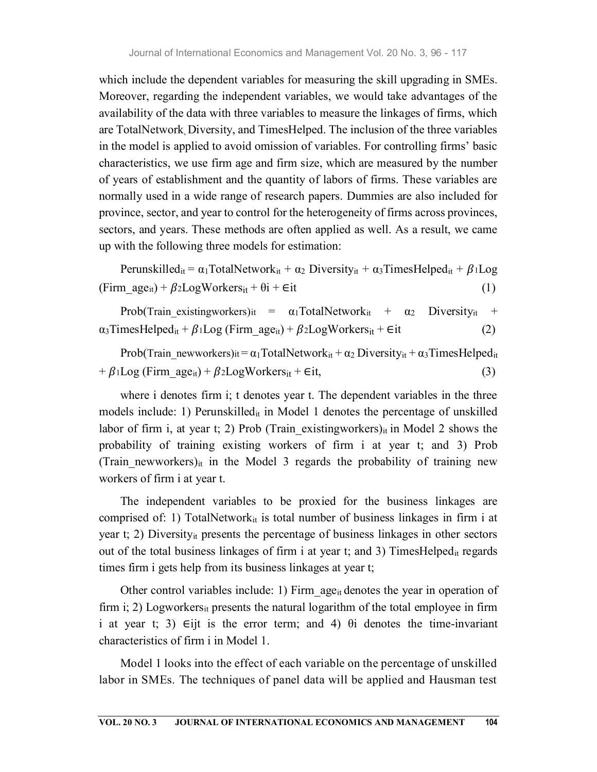which include the dependent variables for measuring the skill upgrading in SMEs. Moreover, regarding the independent variables, we would take advantages of the availability of the data with three variables to measure the linkages of firms, which are TotalNetwork, Diversity, and TimesHelped. The inclusion of the three variables in the model is applied to avoid omission of variables. For controlling firms' basic characteristics, we use firm age and firm size, which are measured by the number of years of establishment and the quantity of labors of firms. These variables are normally used in a wide range of research papers. Dummies are also included for province, sector, and year to control for the heterogeneity of firms across provinces, sectors, and years. These methods are often applied as well. As a result, we came up with the following three models for estimation:

Perunskilled<sub>it</sub> =  $\alpha_1$ TotalNetwork<sub>it</sub> +  $\alpha_2$  Diversity<sub>it</sub> +  $\alpha_3$ TimesHelped<sub>it</sub> +  $\beta_1$ Log (Firm  $age_{it}$ ) +  $\beta$ 2LogWorkers<sub>it</sub> +  $\theta$ i + ∈it (1)

Prob(Train existingworkers)it =  $\alpha_1$ TotalNetwork<sub>it</sub> +  $\alpha_2$  Diversity<sub>it</sub> +  $\alpha_3$ TimesHelped<sub>it</sub> +  $\beta_1$ Log (Firm age<sub>it</sub>) +  $\beta_2$ LogWorkers<sub>it</sub> + ∈it (2)

Prob(Train newworkers)it =  $\alpha_1$ TotalNetwork<sub>it</sub> +  $\alpha_2$  Diversity<sub>it</sub> +  $\alpha_3$ TimesHelped<sub>it</sub>  $+ \beta_1 Log$  (Firm  $age_{it}$ ) +  $\beta_2 LogWorks_{it}$  + ∈it, (3)

where i denotes firm i; t denotes year t. The dependent variables in the three models include: 1) Perunskilled<sub>it</sub> in Model 1 denotes the percentage of unskilled labor of firm i, at year t; 2) Prob (Train existingworkers) $_{it}$  in Model 2 shows the probability of training existing workers of firm i at year t; and 3) Prob (Train newworkers)<sub>it</sub> in the Model 3 regards the probability of training new workers of firm i at year t.

The independent variables to be proxied for the business linkages are comprised of: 1) TotalNetwork<sub>it</sub> is total number of business linkages in firm i at year t; 2) Diversityit presents the percentage of business linkages in other sectors out of the total business linkages of firm i at year t; and 3) TimesHelped<sub>it</sub> regards times firm i gets help from its business linkages at year t;

Other control variables include: 1) Firm  $age_{it}$  denotes the year in operation of firm i; 2) Logworkers<sub>it</sub> presents the natural logarithm of the total employee in firm i at year t; 3)  $Eijt$  is the error term; and 4)  $\theta i$  denotes the time-invariant characteristics of firm i in Model 1.

Model 1 looks into the effect of each variable on the percentage of unskilled labor in SMEs. The techniques of panel data will be applied and Hausman test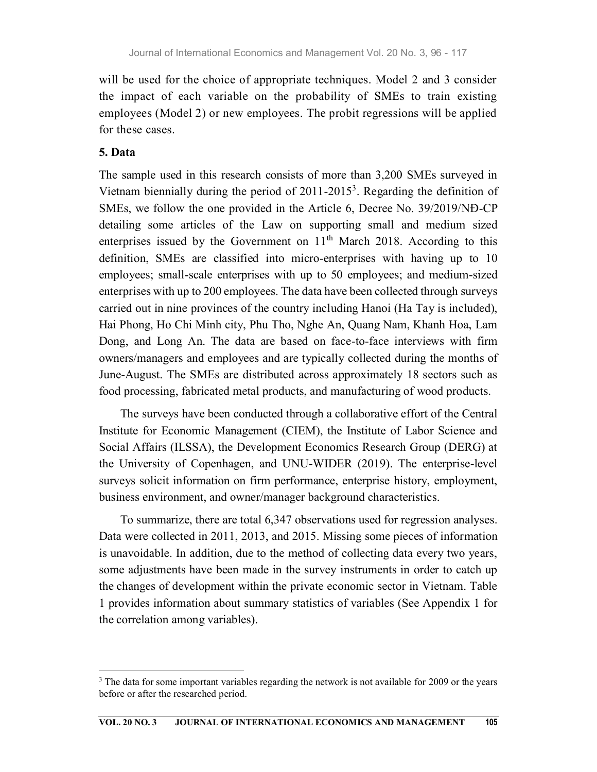will be used for the choice of appropriate techniques. Model 2 and 3 consider the impact of each variable on the probability of SMEs to train existing employees (Model 2) or new employees. The probit regressions will be applied for these cases.

### 5. Data

The sample used in this research consists of more than 3,200 SMEs surveyed in Vietnam biennially during the period of  $2011-2015<sup>3</sup>$ . Regarding the definition of SMEs, we follow the one provided in the Article 6, Decree No. 39/2019/NĐ-CP detailing some articles of the Law on supporting small and medium sized enterprises issued by the Government on  $11<sup>th</sup>$  March 2018. According to this definition, SMEs are classified into micro-enterprises with having up to 10 employees; small-scale enterprises with up to 50 employees; and medium-sized enterprises with up to 200 employees. The data have been collected through surveys carried out in nine provinces of the country including Hanoi (Ha Tay is included), Hai Phong, Ho Chi Minh city, Phu Tho, Nghe An, Quang Nam, Khanh Hoa, Lam Dong, and Long An. The data are based on face-to-face interviews with firm owners/managers and employees and are typically collected during the months of June-August. The SMEs are distributed across approximately 18 sectors such as food processing, fabricated metal products, and manufacturing of wood products.

The surveys have been conducted through a collaborative effort of the Central Institute for Economic Management (CIEM), the Institute of Labor Science and Social Affairs (ILSSA), the Development Economics Research Group (DERG) at the University of Copenhagen, and UNU-WIDER (2019). The enterprise-level surveys solicit information on firm performance, enterprise history, employment, business environment, and owner/manager background characteristics.

To summarize, there are total 6,347 observations used for regression analyses. Data were collected in 2011, 2013, and 2015. Missing some pieces of information is unavoidable. In addition, due to the method of collecting data every two years, some adjustments have been made in the survey instruments in order to catch up the changes of development within the private economic sector in Vietnam. Table 1 provides information about summary statistics of variables (See Appendix 1 for the correlation among variables).

 $3$  The data for some important variables regarding the network is not available for 2009 or the years before or after the researched period.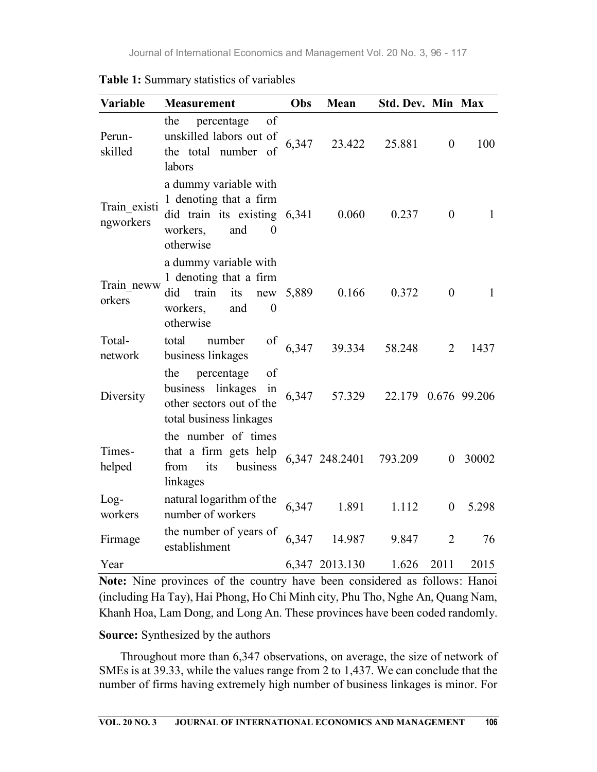| Variable                  | <b>Measurement</b>                                                                                                          | Obs       | Mean           | Std. Dev. Min Max   |                  |              |
|---------------------------|-----------------------------------------------------------------------------------------------------------------------------|-----------|----------------|---------------------|------------------|--------------|
| Perun-<br>skilled         | of<br>the<br>percentage<br>unskilled labors out of<br>the total number of<br>labors                                         | 6,347     | 23.422         | 25.881              | $\boldsymbol{0}$ | 100          |
| Train existi<br>ngworkers | a dummy variable with<br>1 denoting that a firm<br>did train its existing 6,341<br>and<br>workers,<br>$\theta$<br>otherwise |           | 0.060          | 0.237               | $\overline{0}$   | $\mathbf{1}$ |
| Train neww<br>orkers      | a dummy variable with<br>1 denoting that a firm<br>train<br>its<br>did<br>$\boldsymbol{0}$<br>workers,<br>and<br>otherwise  | new 5,889 | 0.166          | 0.372               | $\boldsymbol{0}$ | $\mathbf{1}$ |
| Total-<br>network         | total<br>number<br>of<br>business linkages                                                                                  | 6,347     | 39.334         | 58.248              | $\overline{2}$   | 1437         |
| Diversity                 | percentage<br>the<br>of<br>business linkages in<br>other sectors out of the<br>total business linkages                      | 6,347     | 57.329         | 22.179 0.676 99.206 |                  |              |
| Times-<br>helped          | the number of times<br>that a firm gets help<br>its<br>from<br>business<br>linkages                                         |           | 6,347 248.2401 | 793.209             |                  | 0 30002      |
| $Log-$<br>workers         | natural logarithm of the<br>number of workers                                                                               | 6,347     | 1.891          | 1.112               | $\mathbf{0}$     | 5.298        |
| Firmage                   | the number of years of<br>establishment                                                                                     | 6,347     | 14.987         | 9.847               | $\overline{2}$   | 76           |
| Year                      |                                                                                                                             |           | 6,347 2013.130 | 1.626               | 2011             | 2015         |

Table 1: Summary statistics of variables

Note: Nine provinces of the country have been considered as follows: Hanoi (including Ha Tay), Hai Phong, Ho Chi Minh city, Phu Tho, Nghe An, Quang Nam, Khanh Hoa, Lam Dong, and Long An. These provinces have been coded randomly.

#### Source: Synthesized by the authors

Throughout more than 6,347 observations, on average, the size of network of SMEs is at 39.33, while the values range from 2 to 1,437. We can conclude that the number of firms having extremely high number of business linkages is minor. For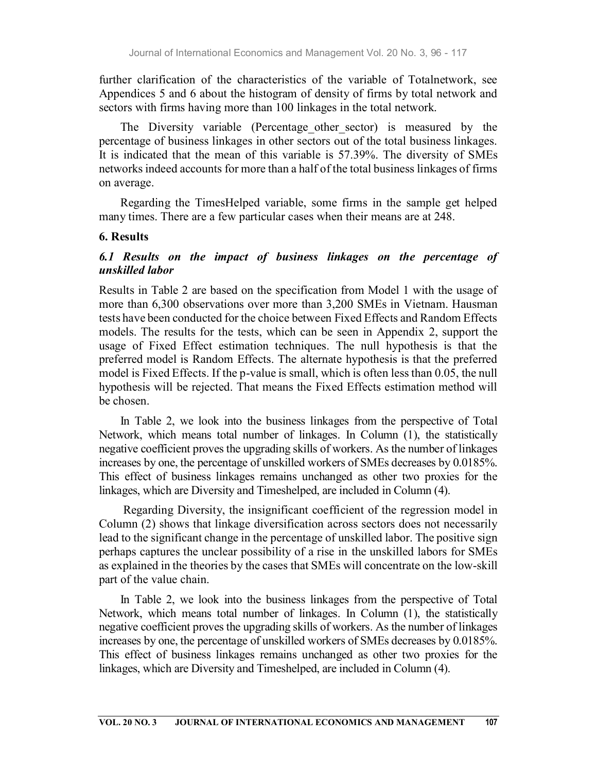further clarification of the characteristics of the variable of Totalnetwork, see Appendices 5 and 6 about the histogram of density of firms by total network and sectors with firms having more than 100 linkages in the total network.

The Diversity variable (Percentage other sector) is measured by the percentage of business linkages in other sectors out of the total business linkages. It is indicated that the mean of this variable is 57.39%. The diversity of SMEs networks indeed accounts for more than a half of the total business linkages of firms on average.

Regarding the TimesHelped variable, some firms in the sample get helped many times. There are a few particular cases when their means are at 248.

#### 6. Results

### 6.1 Results on the impact of business linkages on the percentage of unskilled labor

Results in Table 2 are based on the specification from Model 1 with the usage of more than 6,300 observations over more than 3,200 SMEs in Vietnam. Hausman tests have been conducted for the choice between Fixed Effects and Random Effects models. The results for the tests, which can be seen in Appendix 2, support the usage of Fixed Effect estimation techniques. The null hypothesis is that the preferred model is Random Effects. The alternate hypothesis is that the preferred model is Fixed Effects. If the p-value is small, which is often less than 0.05, the null hypothesis will be rejected. That means the Fixed Effects estimation method will be chosen.

In Table 2, we look into the business linkages from the perspective of Total Network, which means total number of linkages. In Column (1), the statistically negative coefficient proves the upgrading skills of workers. As the number of linkages increases by one, the percentage of unskilled workers of SMEs decreases by 0.0185%. This effect of business linkages remains unchanged as other two proxies for the linkages, which are Diversity and Timeshelped, are included in Column (4).

 Regarding Diversity, the insignificant coefficient of the regression model in Column (2) shows that linkage diversification across sectors does not necessarily lead to the significant change in the percentage of unskilled labor. The positive sign perhaps captures the unclear possibility of a rise in the unskilled labors for SMEs as explained in the theories by the cases that SMEs will concentrate on the low-skill part of the value chain.

In Table 2, we look into the business linkages from the perspective of Total Network, which means total number of linkages. In Column (1), the statistically negative coefficient proves the upgrading skills of workers. As the number of linkages increases by one, the percentage of unskilled workers of SMEs decreases by 0.0185%. This effect of business linkages remains unchanged as other two proxies for the linkages, which are Diversity and Timeshelped, are included in Column (4).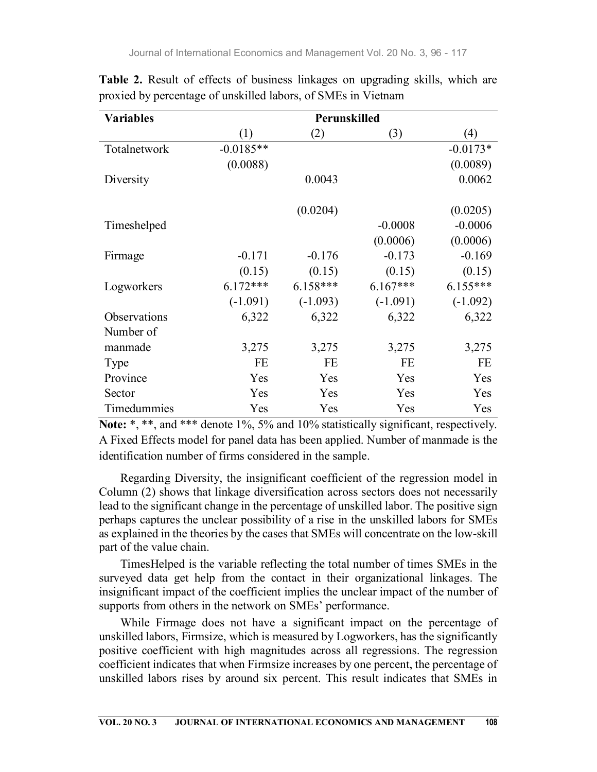| <b>Variables</b> |             |            | Perunskilled |            |  |  |  |
|------------------|-------------|------------|--------------|------------|--|--|--|
|                  | (1)         | (2)        | (3)          | (4)        |  |  |  |
| Totalnetwork     | $-0.0185**$ |            |              | $-0.0173*$ |  |  |  |
|                  | (0.0088)    |            |              | (0.0089)   |  |  |  |
| Diversity        |             | 0.0043     |              | 0.0062     |  |  |  |
|                  |             | (0.0204)   |              | (0.0205)   |  |  |  |
| Timeshelped      |             |            | $-0.0008$    | $-0.0006$  |  |  |  |
|                  |             |            | (0.0006)     | (0.0006)   |  |  |  |
| Firmage          | $-0.171$    | $-0.176$   | $-0.173$     | $-0.169$   |  |  |  |
|                  | (0.15)      | (0.15)     | (0.15)       | (0.15)     |  |  |  |
| Logworkers       | $6.172***$  | $6.158***$ | $6.167***$   | $6.155***$ |  |  |  |
|                  | $(-1.091)$  | $(-1.093)$ | $(-1.091)$   | $(-1.092)$ |  |  |  |
| Observations     | 6,322       | 6,322      | 6,322        | 6,322      |  |  |  |
| Number of        |             |            |              |            |  |  |  |
| manmade          | 3,275       | 3,275      | 3,275        | 3,275      |  |  |  |
| Type             | FE          | <b>FE</b>  | FE           | FE         |  |  |  |
| Province         | Yes         | Yes        | Yes          | Yes        |  |  |  |
| Sector           | Yes         | Yes        | Yes          | Yes        |  |  |  |
| Timedummies      | Yes         | Yes        | Yes          | Yes        |  |  |  |

Table 2. Result of effects of business linkages on upgrading skills, which are proxied by percentage of unskilled labors, of SMEs in Vietnam

Note: \*, \*\*, and \*\*\* denote 1%, 5% and 10% statistically significant, respectively. A Fixed Effects model for panel data has been applied. Number of manmade is the identification number of firms considered in the sample.

Regarding Diversity, the insignificant coefficient of the regression model in Column (2) shows that linkage diversification across sectors does not necessarily lead to the significant change in the percentage of unskilled labor. The positive sign perhaps captures the unclear possibility of a rise in the unskilled labors for SMEs as explained in the theories by the cases that SMEs will concentrate on the low-skill part of the value chain.

TimesHelped is the variable reflecting the total number of times SMEs in the surveyed data get help from the contact in their organizational linkages. The insignificant impact of the coefficient implies the unclear impact of the number of supports from others in the network on SMEs' performance.

While Firmage does not have a significant impact on the percentage of unskilled labors, Firmsize, which is measured by Logworkers, has the significantly positive coefficient with high magnitudes across all regressions. The regression coefficient indicates that when Firmsize increases by one percent, the percentage of unskilled labors rises by around six percent. This result indicates that SMEs in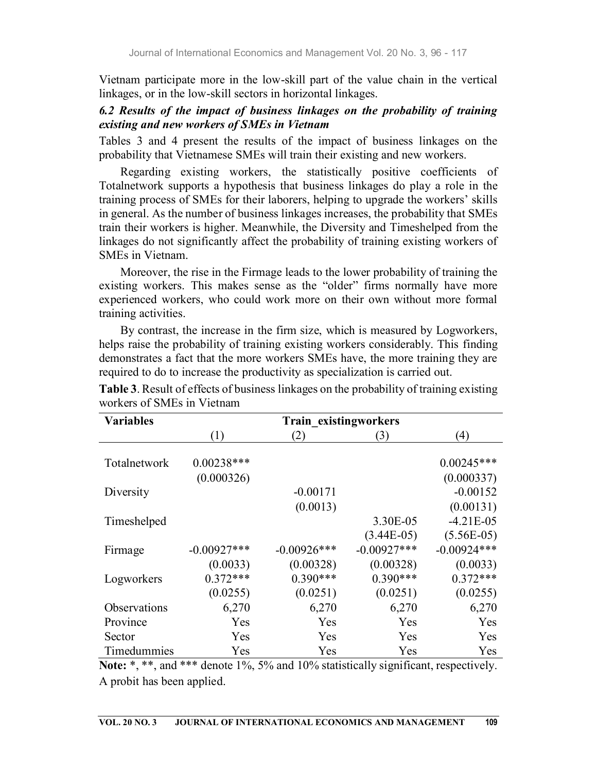Vietnam participate more in the low-skill part of the value chain in the vertical linkages, or in the low-skill sectors in horizontal linkages.

# 6.2 Results of the impact of business linkages on the probability of training existing and new workers of SMEs in Vietnam

Tables 3 and 4 present the results of the impact of business linkages on the probability that Vietnamese SMEs will train their existing and new workers.

Regarding existing workers, the statistically positive coefficients of Totalnetwork supports a hypothesis that business linkages do play a role in the training process of SMEs for their laborers, helping to upgrade the workers' skills in general. As the number of business linkages increases, the probability that SMEs train their workers is higher. Meanwhile, the Diversity and Timeshelped from the linkages do not significantly affect the probability of training existing workers of SMEs in Vietnam.

Moreover, the rise in the Firmage leads to the lower probability of training the existing workers. This makes sense as the "older" firms normally have more experienced workers, who could work more on their own without more formal training activities.

By contrast, the increase in the firm size, which is measured by Logworkers, helps raise the probability of training existing workers considerably. This finding demonstrates a fact that the more workers SMEs have, the more training they are required to do to increase the productivity as specialization is carried out.

| <b>Variables</b> | Train existingworkers |                |               |               |  |  |  |  |
|------------------|-----------------------|----------------|---------------|---------------|--|--|--|--|
|                  | (1)                   | (2)            | (3)           | (4)           |  |  |  |  |
| Totalnetwork     | $0.00238***$          |                |               | $0.00245***$  |  |  |  |  |
|                  | (0.000326)            |                |               | (0.000337)    |  |  |  |  |
| Diversity        |                       | $-0.00171$     |               | $-0.00152$    |  |  |  |  |
|                  |                       | (0.0013)       |               | (0.00131)     |  |  |  |  |
| Timeshelped      |                       |                | 3.30E-05      | $-4.21E-05$   |  |  |  |  |
|                  |                       |                | $(3.44E-05)$  | $(5.56E-05)$  |  |  |  |  |
| Firmage          | $-0.00927***$         | $-0.00926$ *** | $-0.00927***$ | $-0.00924***$ |  |  |  |  |
|                  | (0.0033)              | (0.00328)      | (0.00328)     | (0.0033)      |  |  |  |  |
| Logworkers       | $0.372***$            | $0.390***$     | $0.390***$    | $0.372***$    |  |  |  |  |
|                  | (0.0255)              | (0.0251)       | (0.0251)      | (0.0255)      |  |  |  |  |
| Observations     | 6,270                 | 6,270          | 6,270         | 6,270         |  |  |  |  |
| Province         | Yes                   | Yes            | Yes           | Yes           |  |  |  |  |
| Sector           | Yes                   | Yes            | Yes           | Yes           |  |  |  |  |
| Timedummies      | Yes                   | Yes            | Yes           | Yes           |  |  |  |  |

Table 3. Result of effects of business linkages on the probability of training existing workers of SMEs in Vietnam

Note: \*, \*\*, and \*\*\* denote 1%, 5% and 10% statistically significant, respectively. A probit has been applied.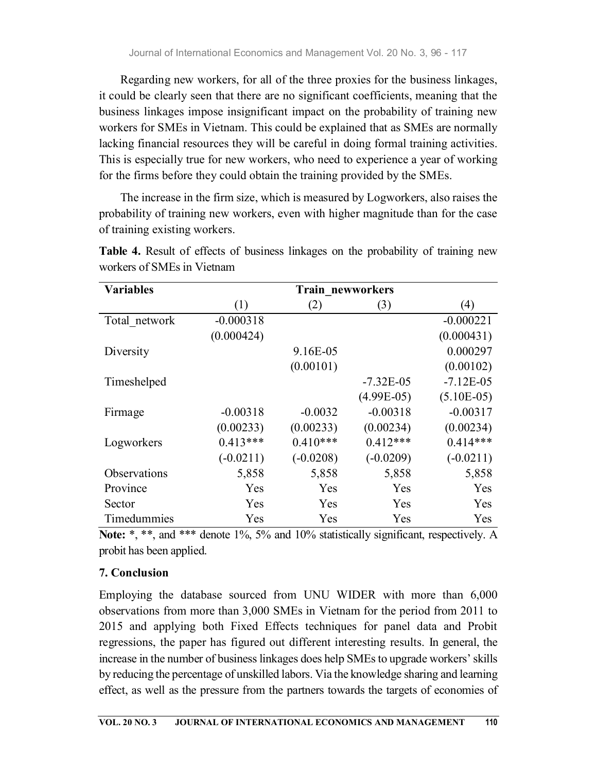Regarding new workers, for all of the three proxies for the business linkages, it could be clearly seen that there are no significant coefficients, meaning that the business linkages impose insignificant impact on the probability of training new workers for SMEs in Vietnam. This could be explained that as SMEs are normally lacking financial resources they will be careful in doing formal training activities. This is especially true for new workers, who need to experience a year of working for the firms before they could obtain the training provided by the SMEs.

The increase in the firm size, which is measured by Logworkers, also raises the probability of training new workers, even with higher magnitude than for the case of training existing workers.

| <b>Variables</b>    | Train newworkers |             |              |              |  |  |  |  |
|---------------------|------------------|-------------|--------------|--------------|--|--|--|--|
|                     | (1)              | (2)         | (3)          | (4)          |  |  |  |  |
| Total network       | $-0.000318$      |             |              | $-0.000221$  |  |  |  |  |
|                     | (0.000424)       |             |              | (0.000431)   |  |  |  |  |
| Diversity           |                  | 9.16E-05    |              | 0.000297     |  |  |  |  |
|                     |                  | (0.00101)   |              | (0.00102)    |  |  |  |  |
| Timeshelped         |                  |             | $-7.32E-05$  | $-7.12E-05$  |  |  |  |  |
|                     |                  |             | $(4.99E-05)$ | $(5.10E-05)$ |  |  |  |  |
| Firmage             | $-0.00318$       | $-0.0032$   | $-0.00318$   | $-0.00317$   |  |  |  |  |
|                     | (0.00233)        | (0.00233)   | (0.00234)    | (0.00234)    |  |  |  |  |
| Logworkers          | $0.413***$       | $0.410***$  | $0.412***$   | $0.414***$   |  |  |  |  |
|                     | $(-0.0211)$      | $(-0.0208)$ | $(-0.0209)$  | $(-0.0211)$  |  |  |  |  |
| <b>Observations</b> | 5,858            | 5,858       | 5,858        | 5,858        |  |  |  |  |
| Province            | Yes              | Yes         | Yes          | Yes          |  |  |  |  |
| Sector              | Yes              | Yes         | Yes          | Yes          |  |  |  |  |
| Timedummies         | Yes              | Yes         | Yes          | Yes          |  |  |  |  |

Table 4. Result of effects of business linkages on the probability of training new workers of SMEs in Vietnam

Note: \*, \*\*, and \*\*\* denote 1%, 5% and 10% statistically significant, respectively. A probit has been applied.

# 7. Conclusion

Employing the database sourced from UNU WIDER with more than 6,000 observations from more than 3,000 SMEs in Vietnam for the period from 2011 to 2015 and applying both Fixed Effects techniques for panel data and Probit regressions, the paper has figured out different interesting results. In general, the increase in the number of business linkages does help SMEs to upgrade workers' skills by reducing the percentage of unskilled labors. Via the knowledge sharing and learning effect, as well as the pressure from the partners towards the targets of economies of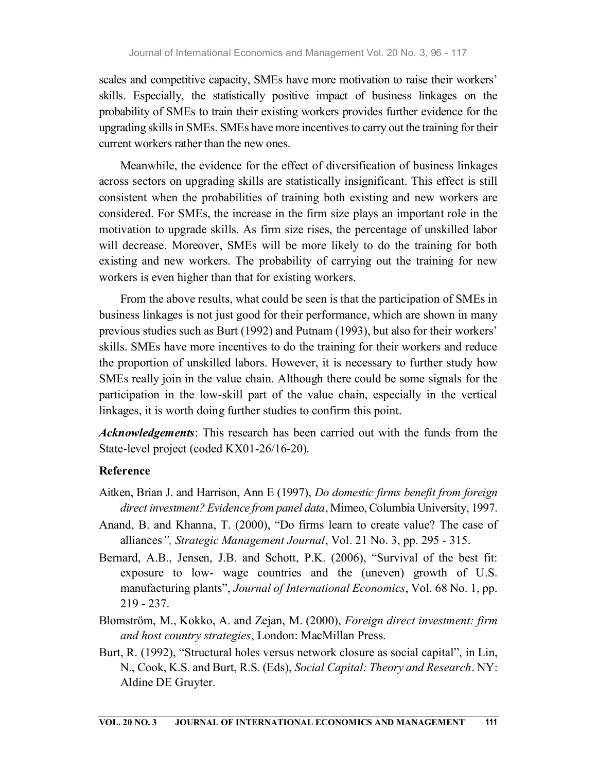scales and competitive capacity, SMEs have more motivation to raise their workers' skills. Especially, the statistically positive impact of business linkages on the probability of SMEs to train their existing workers provides further evidence for the upgrading skills in SMEs. SMEs have more incentives to carry out the training for their current workers rather than the new ones.

Meanwhile, the evidence for the effect of diversification of business linkages across sectors on upgrading skills are statistically insignificant. This effect is still consistent when the probabilities of training both existing and new workers are considered. For SMEs, the increase in the firm size plays an important role in the motivation to upgrade skills. As firm size rises, the percentage of unskilled labor will decrease. Moreover, SMEs will be more likely to do the training for both existing and new workers. The probability of carrying out the training for new workers is even higher than that for existing workers.

From the above results, what could be seen is that the participation of SMEs in business linkages is not just good for their performance, which are shown in many previous studies such as Burt (1992) and Putnam (1993), but also for their workers' skills. SMEs have more incentives to do the training for their workers and reduce the proportion of unskilled labors. However, it is necessary to further study how SMEs really join in the value chain. Although there could be some signals for the participation in the low-skill part of the value chain, especially in the vertical linkages, it is worth doing further studies to confirm this point.

Acknowledgements: This research has been carried out with the funds from the State-level project (coded KX01-26/16-20).

### Reference

- Aitken, Brian J. and Harrison, Ann E (1997), Do domestic firms benefit from foreign direct investment? Evidence from panel data, Mimeo, Columbia University, 1997.
- Anand, B. and Khanna, T. (2000), "Do firms learn to create value? The case of alliances", Strategic Management Journal, Vol. 21 No. 3, pp. 295 - 315.
- Bernard, A.B., Jensen, J.B. and Schott, P.K. (2006), "Survival of the best fit: exposure to low- wage countries and the (uneven) growth of U.S. manufacturing plants", Journal of International Economics, Vol. 68 No. 1, pp. 219 - 237.
- Blomström, M., Kokko, A. and Zejan, M. (2000), Foreign direct investment: firm and host country strategies, London: MacMillan Press.
- Burt, R. (1992), "Structural holes versus network closure as social capital", in Lin, N., Cook, K.S. and Burt, R.S. (Eds), Social Capital: Theory and Research. NY: Aldine DE Gruyter.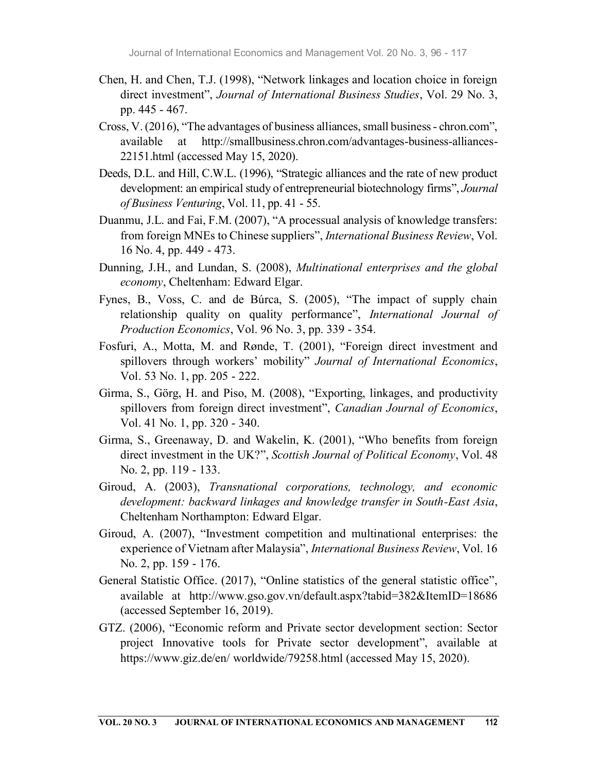- Chen, H. and Chen, T.J. (1998), "Network linkages and location choice in foreign direct investment", Journal of International Business Studies, Vol. 29 No. 3, pp. 445 - 467.
- Cross, V. (2016), "The advantages of business alliances, small business chron.com", available at http://smallbusiness.chron.com/advantages-business-alliances-22151.html (accessed May 15, 2020).
- Deeds, D.L. and Hill, C.W.L. (1996), "Strategic alliances and the rate of new product development: an empirical study of entrepreneurial biotechnology firms", Journal of Business Venturing, Vol. 11, pp. 41 - 55.
- Duanmu, J.L. and Fai, F.M. (2007), "A processual analysis of knowledge transfers: from foreign MNEs to Chinese suppliers", International Business Review, Vol. 16 No. 4, pp. 449 - 473.
- Dunning, J.H., and Lundan, S. (2008), Multinational enterprises and the global economy, Cheltenham: Edward Elgar.
- Fynes, B., Voss, C. and de Búrca, S. (2005), "The impact of supply chain relationship quality on quality performance", International Journal of Production Economics, Vol. 96 No. 3, pp. 339 - 354.
- Fosfuri, A., Motta, M. and Rønde, T. (2001), "Foreign direct investment and spillovers through workers' mobility" Journal of International Economics, Vol. 53 No. 1, pp. 205 - 222.
- Girma, S., Görg, H. and Piso, M. (2008), "Exporting, linkages, and productivity spillovers from foreign direct investment", Canadian Journal of Economics, Vol. 41 No. 1, pp. 320 - 340.
- Girma, S., Greenaway, D. and Wakelin, K. (2001), "Who benefits from foreign direct investment in the UK?", Scottish Journal of Political Economy, Vol. 48 No. 2, pp. 119 - 133.
- Giroud, A. (2003), Transnational corporations, technology, and economic development: backward linkages and knowledge transfer in South-East Asia, Cheltenham Northampton: Edward Elgar.
- Giroud, A. (2007), "Investment competition and multinational enterprises: the experience of Vietnam after Malaysia", International Business Review, Vol. 16 No. 2, pp. 159 - 176.
- General Statistic Office. (2017), "Online statistics of the general statistic office", available at http://www.gso.gov.vn/default.aspx?tabid=382&ItemID=18686 (accessed September 16, 2019).
- GTZ. (2006), "Economic reform and Private sector development section: Sector project Innovative tools for Private sector development", available at https://www.giz.de/en/ worldwide/79258.html (accessed May 15, 2020).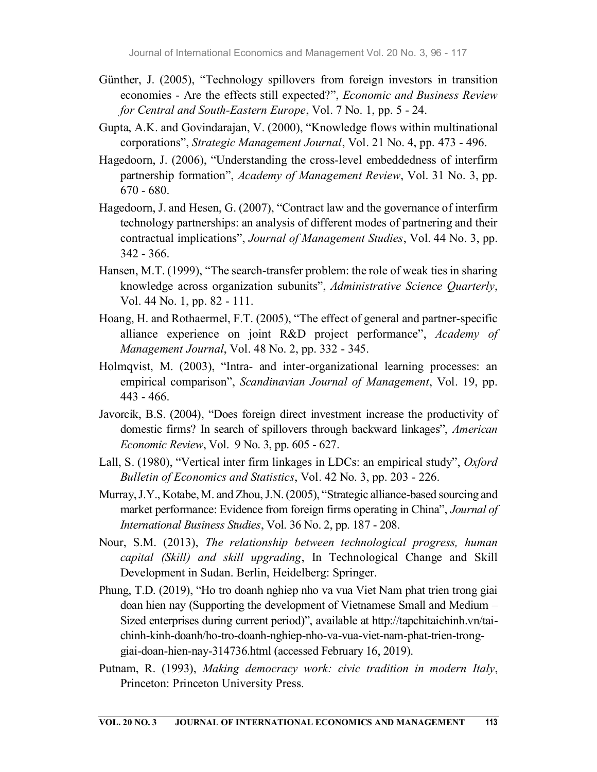- Günther, J. (2005), "Technology spillovers from foreign investors in transition economies - Are the effects still expected?", Economic and Business Review for Central and South-Eastern Europe, Vol. 7 No. 1, pp. 5 - 24.
- Gupta, A.K. and Govindarajan, V. (2000), "Knowledge flows within multinational corporations", Strategic Management Journal, Vol. 21 No. 4, pp. 473 - 496.
- Hagedoorn, J. (2006), "Understanding the cross-level embeddedness of interfirm partnership formation", Academy of Management Review, Vol. 31 No. 3, pp. 670 - 680.
- Hagedoorn, J. and Hesen, G. (2007), "Contract law and the governance of interfirm technology partnerships: an analysis of different modes of partnering and their contractual implications", Journal of Management Studies, Vol. 44 No. 3, pp. 342 - 366.
- Hansen, M.T. (1999), "The search-transfer problem: the role of weak ties in sharing knowledge across organization subunits", Administrative Science Quarterly, Vol. 44 No. 1, pp. 82 - 111.
- Hoang, H. and Rothaermel, F.T. (2005), "The effect of general and partner-specific alliance experience on joint R&D project performance", Academy of Management Journal, Vol. 48 No. 2, pp. 332 - 345.
- Holmqvist, M. (2003), "Intra- and inter-organizational learning processes: an empirical comparison", Scandinavian Journal of Management, Vol. 19, pp. 443 - 466.
- Javorcik, B.S. (2004), "Does foreign direct investment increase the productivity of domestic firms? In search of spillovers through backward linkages", American Economic Review, Vol. 9 No. 3, pp. 605 - 627.
- Lall, S. (1980), "Vertical inter firm linkages in LDCs: an empirical study", Oxford Bulletin of Economics and Statistics, Vol. 42 No. 3, pp. 203 - 226.
- Murray, J.Y., Kotabe, M. and Zhou, J.N. (2005), "Strategic alliance-based sourcing and market performance: Evidence from foreign firms operating in China", Journal of International Business Studies, Vol. 36 No. 2, pp. 187 - 208.
- Nour, S.M. (2013), The relationship between technological progress, human capital (Skill) and skill upgrading, In Technological Change and Skill Development in Sudan. Berlin, Heidelberg: Springer.
- Phung, T.D. (2019), "Ho tro doanh nghiep nho va vua Viet Nam phat trien trong giai doan hien nay (Supporting the development of Vietnamese Small and Medium – Sized enterprises during current period)", available at http://tapchitaichinh.vn/taichinh-kinh-doanh/ho-tro-doanh-nghiep-nho-va-vua-viet-nam-phat-trien-tronggiai-doan-hien-nay-314736.html (accessed February 16, 2019).
- Putnam, R. (1993), *Making democracy work: civic tradition in modern Italy*, Princeton: Princeton University Press.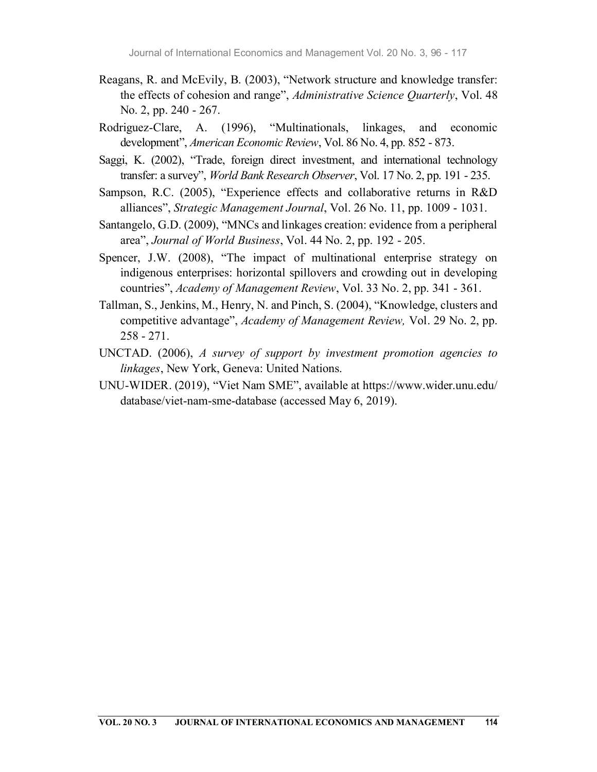- Reagans, R. and McEvily, B. (2003), "Network structure and knowledge transfer: the effects of cohesion and range", Administrative Science Quarterly, Vol. 48 No. 2, pp. 240 - 267.
- Rodriguez-Clare, A. (1996), "Multinationals, linkages, and economic development", American Economic Review, Vol. 86 No. 4, pp. 852 - 873.
- Saggi, K. (2002), "Trade, foreign direct investment, and international technology transfer: a survey", World Bank Research Observer, Vol. 17 No. 2, pp. 191 - 235.
- Sampson, R.C. (2005), "Experience effects and collaborative returns in R&D alliances", Strategic Management Journal, Vol. 26 No. 11, pp. 1009 - 1031.
- Santangelo, G.D. (2009), "MNCs and linkages creation: evidence from a peripheral area", Journal of World Business, Vol. 44 No. 2, pp. 192 - 205.
- Spencer, J.W. (2008), "The impact of multinational enterprise strategy on indigenous enterprises: horizontal spillovers and crowding out in developing countries", Academy of Management Review, Vol. 33 No. 2, pp. 341 - 361.
- Tallman, S., Jenkins, M., Henry, N. and Pinch, S. (2004), "Knowledge, clusters and competitive advantage", Academy of Management Review, Vol. 29 No. 2, pp. 258 - 271.
- UNCTAD. (2006), A survey of support by investment promotion agencies to linkages, New York, Geneva: United Nations.
- UNU-WIDER. (2019), "Viet Nam SME", available at https://www.wider.unu.edu/ database/viet-nam-sme-database (accessed May 6, 2019).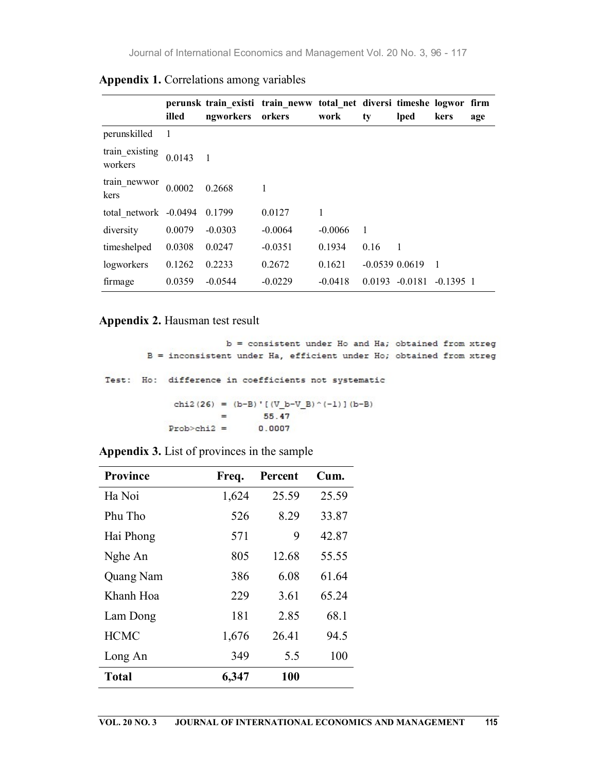|                              | illed  | ngworkers orkers | perunsk train existi train neww total net diversi timeshe logwor firm | work      | ty             | lped                 | kers        | age |
|------------------------------|--------|------------------|-----------------------------------------------------------------------|-----------|----------------|----------------------|-------------|-----|
| perunskilled                 |        |                  |                                                                       |           |                |                      |             |     |
| train_existing<br>workers    | 0.0143 |                  |                                                                       |           |                |                      |             |     |
| train_newwor<br>kers         | 0.0002 | 0.2668           |                                                                       |           |                |                      |             |     |
| total network -0.0494 0.1799 |        |                  | 0.0127                                                                |           |                |                      |             |     |
| diversity                    | 0.0079 | $-0.0303$        | $-0.0064$                                                             | $-0.0066$ | $\overline{1}$ |                      |             |     |
| timeshelped                  | 0.0308 | 0.0247           | $-0.0351$                                                             | 0.1934    | 0.16           | - 1                  |             |     |
| logworkers                   | 0.1262 | 0.2233           | 0.2672                                                                | 0.1621    |                | $-0.0539$ $0.0619$ 1 |             |     |
| firmage                      | 0.0359 | $-0.0544$        | $-0.0229$                                                             | $-0.0418$ |                | $0.0193 - 0.0181$    | $-0.1395$ 1 |     |

Appendix 1. Correlations among variables

## Appendix 2. Hausman test result

```
b = consistent under Ho and Ha; obtained from xtreg
       B = inconsistent under Ha, efficient under Ho; obtained from xtreg
Test: Ho: difference in coefficients not systematic
            chi2(26) = (b-B) ' [(V_b-V_B) ^ (-1) ] (b-B)
                            55.47
                     =Prob > chi2 =0.0007
```
Appendix 3. List of provinces in the sample

| <b>Province</b> | Freq. | Percent | Cum.  |
|-----------------|-------|---------|-------|
| Ha Noi          | 1,624 | 25.59   | 25.59 |
| Phu Tho         | 526   | 8.29    | 33.87 |
| Hai Phong       | 571   | 9       | 42.87 |
| Nghe An         | 805   | 12.68   | 55.55 |
| Quang Nam       | 386   | 6.08    | 61.64 |
| Khanh Hoa       | 229   | 3.61    | 65.24 |
| Lam Dong        | 181   | 2.85    | 68.1  |
| <b>HCMC</b>     | 1,676 | 26.41   | 94.5  |
| Long An         | 349   | 5.5     | 100   |
| <b>Total</b>    | 6,347 | 100     |       |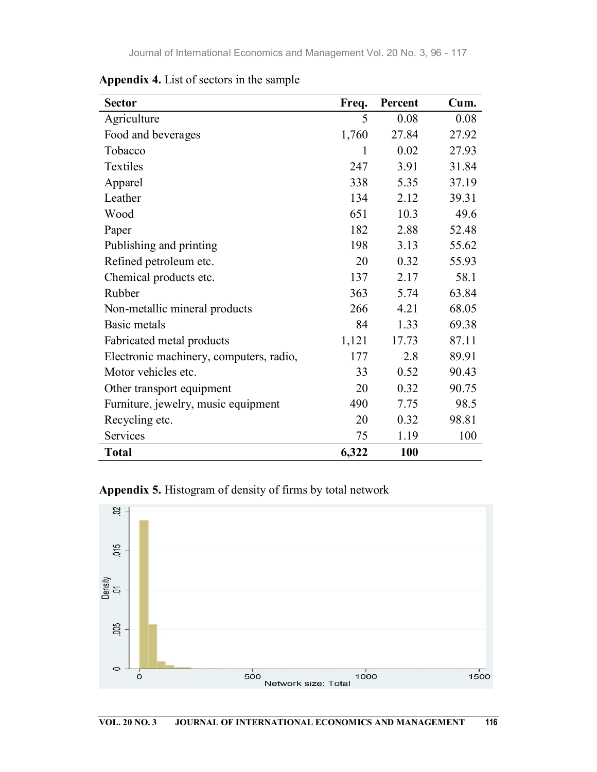| <b>Sector</b>                           | Freq. | Percent | Cum.  |
|-----------------------------------------|-------|---------|-------|
| Agriculture                             | 5     | 0.08    | 0.08  |
| Food and beverages                      | 1,760 | 27.84   | 27.92 |
| Tobacco                                 | 1     | 0.02    | 27.93 |
| Textiles                                | 247   | 3.91    | 31.84 |
| Apparel                                 | 338   | 5.35    | 37.19 |
| Leather                                 | 134   | 2.12    | 39.31 |
| Wood                                    | 651   | 10.3    | 49.6  |
| Paper                                   | 182   | 2.88    | 52.48 |
| Publishing and printing                 | 198   | 3.13    | 55.62 |
| Refined petroleum etc.                  | 20    | 0.32    | 55.93 |
| Chemical products etc.                  | 137   | 2.17    | 58.1  |
| Rubber                                  | 363   | 5.74    | 63.84 |
| Non-metallic mineral products           | 266   | 4.21    | 68.05 |
| Basic metals                            | 84    | 1.33    | 69.38 |
| Fabricated metal products               | 1,121 | 17.73   | 87.11 |
| Electronic machinery, computers, radio, | 177   | 2.8     | 89.91 |
| Motor vehicles etc.                     | 33    | 0.52    | 90.43 |
| Other transport equipment               | 20    | 0.32    | 90.75 |
| Furniture, jewelry, music equipment     | 490   | 7.75    | 98.5  |
| Recycling etc.                          | 20    | 0.32    | 98.81 |
| Services                                | 75    | 1.19    | 100   |
| <b>Total</b>                            | 6,322 | 100     |       |

Appendix 4. List of sectors in the sample

# Appendix 5. Histogram of density of firms by total network